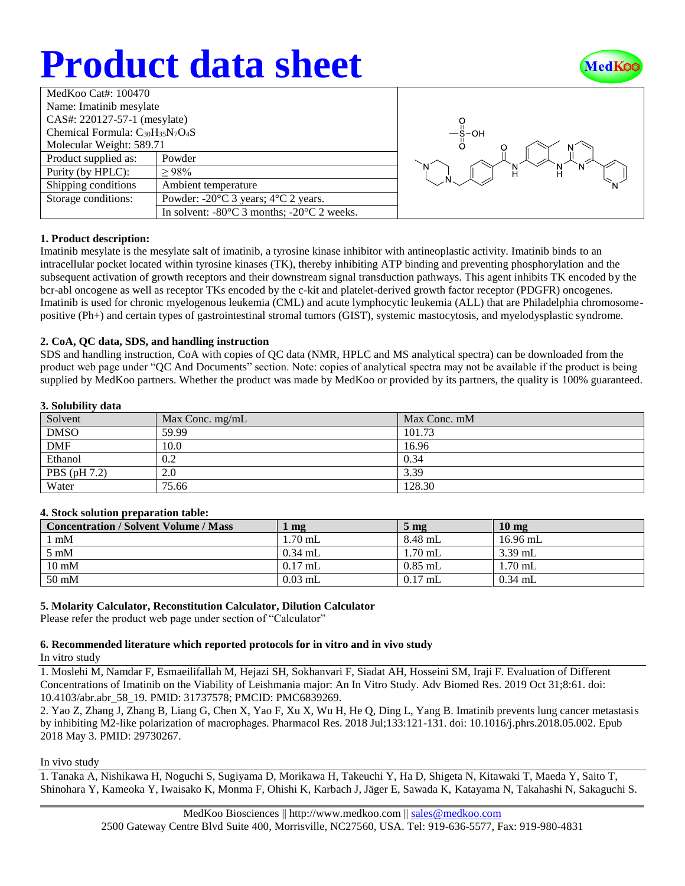# **Product data sheet**



| MedKoo Cat#: 100470                     |                                                                |  |  |  |
|-----------------------------------------|----------------------------------------------------------------|--|--|--|
| Name: Imatinib mesylate                 |                                                                |  |  |  |
| CAS#: 220127-57-1 (mesylate)            |                                                                |  |  |  |
| Chemical Formula: $C_{30}H_{35}N_7O_4S$ |                                                                |  |  |  |
| Molecular Weight: 589.71                |                                                                |  |  |  |
| Product supplied as:                    | Powder                                                         |  |  |  |
| Purity (by HPLC):                       | >98%                                                           |  |  |  |
| Shipping conditions                     | Ambient temperature                                            |  |  |  |
| Storage conditions:                     | Powder: $-20^{\circ}$ C 3 years; $4^{\circ}$ C 2 years.        |  |  |  |
|                                         | In solvent: $-80^{\circ}$ C 3 months; $-20^{\circ}$ C 2 weeks. |  |  |  |



## **1. Product description:**

Imatinib mesylate is the mesylate salt of imatinib, a tyrosine kinase inhibitor with antineoplastic activity. Imatinib binds to an intracellular pocket located within tyrosine kinases (TK), thereby inhibiting ATP binding and preventing phosphorylation and the subsequent activation of growth receptors and their downstream signal transduction pathways. This agent inhibits TK encoded by the bcr-abl oncogene as well as receptor TKs encoded by the c-kit and platelet-derived growth factor receptor (PDGFR) oncogenes. Imatinib is used for chronic myelogenous leukemia (CML) and acute lymphocytic leukemia (ALL) that are Philadelphia chromosomepositive (Ph+) and certain types of gastrointestinal stromal tumors (GIST), systemic mastocytosis, and myelodysplastic syndrome.

## **2. CoA, QC data, SDS, and handling instruction**

SDS and handling instruction, CoA with copies of QC data (NMR, HPLC and MS analytical spectra) can be downloaded from the product web page under "QC And Documents" section. Note: copies of analytical spectra may not be available if the product is being supplied by MedKoo partners. Whether the product was made by MedKoo or provided by its partners, the quality is 100% guaranteed.

## **3. Solubility data**

| Solvent      | Max Conc. $mg/mL$ | Max Conc. mM |
|--------------|-------------------|--------------|
| <b>DMSO</b>  | 59.99             | 101.73       |
| <b>DMF</b>   | 10.0              | 16.96        |
| Ethanol      | 0.2               | 0.34         |
| PBS (pH 7.2) | 2.0               | 3.39         |
| Water        | 75.66             | 128.30       |

## **4. Stock solution preparation table:**

| <b>Concentration / Solvent Volume / Mass</b> | mg        | $5 \text{ mg}$ | $10 \text{ mg}$ |
|----------------------------------------------|-----------|----------------|-----------------|
| $1 \text{ mM}$                               | 1.70 mL   | 8.48 mL        | $16.96$ mL      |
| $5 \text{ mM}$                               | $0.34$ mL | $1.70$ mL      | $3.39$ mL       |
| $10 \text{ mM}$                              | $0.17$ mL | $0.85$ mL      | $1.70$ mL       |
| $50 \text{ mM}$                              | $0.03$ mL | $0.17$ mL      | $0.34$ mL       |

## **5. Molarity Calculator, Reconstitution Calculator, Dilution Calculator**

Please refer the product web page under section of "Calculator"

## **6. Recommended literature which reported protocols for in vitro and in vivo study**

In vitro study

1. Moslehi M, Namdar F, Esmaeilifallah M, Hejazi SH, Sokhanvari F, Siadat AH, Hosseini SM, Iraji F. Evaluation of Different Concentrations of Imatinib on the Viability of Leishmania major: An In Vitro Study. Adv Biomed Res. 2019 Oct 31;8:61. doi: 10.4103/abr.abr\_58\_19. PMID: 31737578; PMCID: PMC6839269.

2. Yao Z, Zhang J, Zhang B, Liang G, Chen X, Yao F, Xu X, Wu H, He Q, Ding L, Yang B. Imatinib prevents lung cancer metastasis by inhibiting M2-like polarization of macrophages. Pharmacol Res. 2018 Jul;133:121-131. doi: 10.1016/j.phrs.2018.05.002. Epub 2018 May 3. PMID: 29730267.

In vivo study

1. Tanaka A, Nishikawa H, Noguchi S, Sugiyama D, Morikawa H, Takeuchi Y, Ha D, Shigeta N, Kitawaki T, Maeda Y, Saito T, Shinohara Y, Kameoka Y, Iwaisako K, Monma F, Ohishi K, Karbach J, Jäger E, Sawada K, Katayama N, Takahashi N, Sakaguchi S.